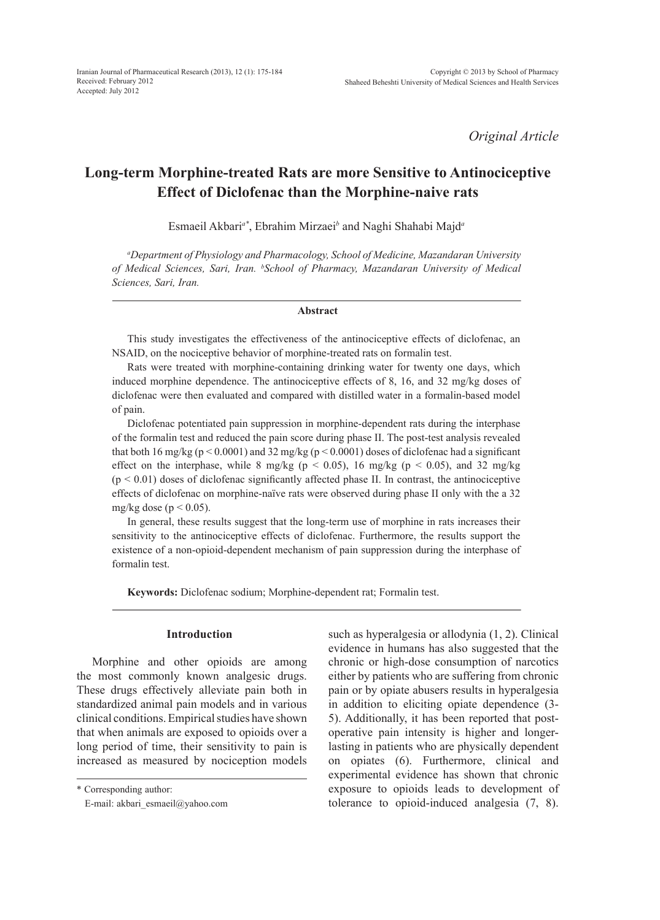*Original Article*

# **Long-term Morphine-treated Rats are more Sensitive to Antinociceptive Effect of Diclofenac than the Morphine-naive rats**

Esmaeil Akbari*a\**, Ebrahim Mirzaei*<sup>b</sup>* and Naghi Shahabi Majd*<sup>a</sup>*

*a Department of Physiology and Pharmacology, School of Medicine, Mazandaran University of Medical Sciences, Sari, Iran. b School of Pharmacy, Mazandaran University of Medical Sciences, Sari, Iran.*

#### **Abstract**

This study investigates the effectiveness of the antinociceptive effects of diclofenac, an NSAID, on the nociceptive behavior of morphine-treated rats on formalin test.

Rats were treated with morphine-containing drinking water for twenty one days, which induced morphine dependence. The antinociceptive effects of 8, 16, and 32 mg/kg doses of diclofenac were then evaluated and compared with distilled water in a formalin-based model of pain.

Diclofenac potentiated pain suppression in morphine-dependent rats during the interphase of the formalin test and reduced the pain score during phase II. The post-test analysis revealed that both 16 mg/kg ( $p < 0.0001$ ) and 32 mg/kg ( $p < 0.0001$ ) doses of diclofenac had a significant effect on the interphase, while 8 mg/kg ( $p < 0.05$ ), 16 mg/kg ( $p < 0.05$ ), and 32 mg/kg  $(p < 0.01)$  doses of diclofenac significantly affected phase II. In contrast, the antinociceptive effects of diclofenac on morphine-naïve rats were observed during phase II only with the a 32 mg/kg dose ( $p < 0.05$ ).

In general, these results suggest that the long-term use of morphine in rats increases their sensitivity to the antinociceptive effects of diclofenac. Furthermore, the results support the existence of a non-opioid-dependent mechanism of pain suppression during the interphase of formalin test.

**Keywords:** Diclofenac sodium; Morphine-dependent rat; Formalin test.

#### **Introduction**

Morphine and other opioids are among the most commonly known analgesic drugs. These drugs effectively alleviate pain both in standardized animal pain models and in various clinical conditions. Empirical studies have shown that when animals are exposed to opioids over a long period of time, their sensitivity to pain is increased as measured by nociception models such as hyperalgesia or allodynia (1, 2). Clinical evidence in humans has also suggested that the chronic or high-dose consumption of narcotics either by patients who are suffering from chronic pain or by opiate abusers results in hyperalgesia in addition to eliciting opiate dependence (3- 5). Additionally, it has been reported that postoperative pain intensity is higher and longerlasting in patients who are physically dependent on opiates (6). Furthermore, clinical and experimental evidence has shown that chronic exposure to opioids leads to development of tolerance to opioid-induced analgesia (7, 8).

<sup>\*</sup> Corresponding author:

E-mail: akbari\_esmaeil@yahoo.com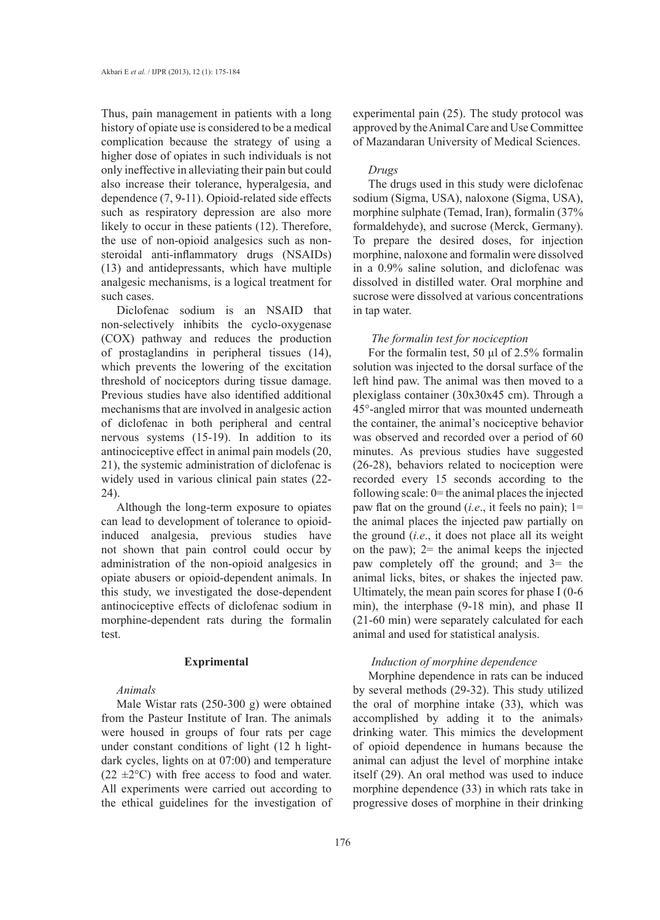Thus, pain management in patients with a long history of opiate use is considered to be a medical complication because the strategy of using a higher dose of opiates in such individuals is not only ineffective in alleviating their pain but could also increase their tolerance, hyperalgesia, and dependence (7, 9-11). Opioid-related side effects such as respiratory depression are also more likely to occur in these patients (12). Therefore, the use of non-opioid analgesics such as nonsteroidal anti-inflammatory drugs (NSAIDs) (13) and antidepressants, which have multiple analgesic mechanisms, is a logical treatment for such cases.

Diclofenac sodium is an NSAID that non-selectively inhibits the cyclo-oxygenase (COX) pathway and reduces the production of prostaglandins in peripheral tissues (14), which prevents the lowering of the excitation threshold of nociceptors during tissue damage. Previous studies have also identified additional mechanisms that are involved in analgesic action of diclofenac in both peripheral and central nervous systems (15-19). In addition to its antinociceptive effect in animal pain models (20, 21), the systemic administration of diclofenac is widely used in various clinical pain states (22- 24).

Although the long-term exposure to opiates can lead to development of tolerance to opioidinduced analgesia, previous studies have not shown that pain control could occur by administration of the non-opioid analgesics in opiate abusers or opioid-dependent animals. In this study, we investigated the dose-dependent antinociceptive effects of diclofenac sodium in morphine-dependent rats during the formalin test.

# **Exprimental**

# *Animals*

Male Wistar rats (250-300 g) were obtained from the Pasteur Institute of Iran. The animals were housed in groups of four rats per cage under constant conditions of light (12 h lightdark cycles, lights on at 07:00) and temperature  $(22 \pm 2^{\circ}C)$  with free access to food and water. All experiments were carried out according to the ethical guidelines for the investigation of experimental pain (25). The study protocol was approved by the Animal Care and Use Committee of Mazandaran University of Medical Sciences.

#### *Drugs*

The drugs used in this study were diclofenac sodium (Sigma, USA), naloxone (Sigma, USA), morphine sulphate (Temad, Iran), formalin (37% formaldehyde), and sucrose (Merck, Germany). To prepare the desired doses, for injection morphine, naloxone and formalin were dissolved in a 0.9% saline solution, and diclofenac was dissolved in distilled water. Oral morphine and sucrose were dissolved at various concentrations in tap water.

#### *The formalin test for nociception*

For the formal in test, 50  $\mu$ l of 2.5% formal in solution was injected to the dorsal surface of the left hind paw. The animal was then moved to a plexiglass container (30x30x45 cm). Through a 45°-angled mirror that was mounted underneath the container, the animal's nociceptive behavior was observed and recorded over a period of 60 minutes. As previous studies have suggested (26-28), behaviors related to nociception were recorded every 15 seconds according to the following scale:  $0$  = the animal places the injected paw flat on the ground (*i.e*., it feels no pain); 1= the animal places the injected paw partially on the ground (*i.e*., it does not place all its weight on the paw);  $2=$  the animal keeps the injected paw completely off the ground; and 3= the animal licks, bites, or shakes the injected paw. Ultimately, the mean pain scores for phase I (0-6 min), the interphase (9-18 min), and phase II (21-60 min) were separately calculated for each animal and used for statistical analysis.

# *Induction of morphine dependence*

Morphine dependence in rats can be induced by several methods (29-32). This study utilized the oral of morphine intake (33), which was accomplished by adding it to the animals› drinking water. This mimics the development of opioid dependence in humans because the animal can adjust the level of morphine intake itself (29). An oral method was used to induce morphine dependence (33) in which rats take in progressive doses of morphine in their drinking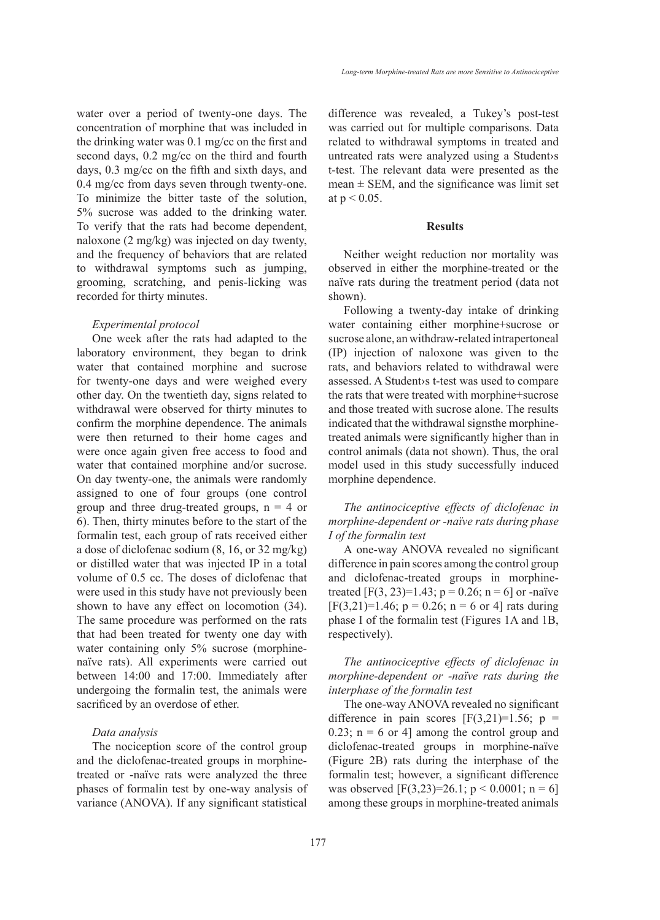water over a period of twenty-one days. The concentration of morphine that was included in the drinking water was 0.1 mg/cc on the first and second days, 0.2 mg/cc on the third and fourth days, 0.3 mg/cc on the fifth and sixth days, and 0.4 mg/cc from days seven through twenty-one. To minimize the bitter taste of the solution, 5% sucrose was added to the drinking water. To verify that the rats had become dependent, naloxone (2 mg/kg) was injected on day twenty, and the frequency of behaviors that are related to withdrawal symptoms such as jumping, grooming, scratching, and penis-licking was recorded for thirty minutes.

#### *Experimental protocol*

One week after the rats had adapted to the laboratory environment, they began to drink water that contained morphine and sucrose for twenty-one days and were weighed every other day. On the twentieth day, signs related to withdrawal were observed for thirty minutes to confirm the morphine dependence. The animals were then returned to their home cages and were once again given free access to food and water that contained morphine and/or sucrose. On day twenty-one, the animals were randomly assigned to one of four groups (one control group and three drug-treated groups,  $n = 4$  or 6). Then, thirty minutes before to the start of the formalin test, each group of rats received either a dose of diclofenac sodium (8, 16, or 32 mg/kg) or distilled water that was injected IP in a total volume of 0.5 cc. The doses of diclofenac that were used in this study have not previously been shown to have any effect on locomotion (34). The same procedure was performed on the rats that had been treated for twenty one day with water containing only 5% sucrose (morphinenaïve rats). All experiments were carried out between 14:00 and 17:00. Immediately after undergoing the formalin test, the animals were sacrificed by an overdose of ether.

#### *Data analysis*

The nociception score of the control group and the diclofenac-treated groups in morphinetreated or -naïve rats were analyzed the three phases of formalin test by one-way analysis of variance (ANOVA). If any significant statistical difference was revealed, a Tukey's post-test was carried out for multiple comparisons. Data related to withdrawal symptoms in treated and untreated rats were analyzed using a Student›s t-test. The relevant data were presented as the mean  $\pm$  SEM, and the significance was limit set at  $p < 0.05$ .

#### **Results**

Neither weight reduction nor mortality was observed in either the morphine-treated or the naïve rats during the treatment period (data not shown).

Following a twenty-day intake of drinking water containing either morphine+sucrose or sucrose alone, an withdraw-related intrapertoneal (IP) injection of naloxone was given to the rats, and behaviors related to withdrawal were assessed. A Student›s t-test was used to compare the rats that were treated with morphine+sucrose and those treated with sucrose alone. The results indicated that the withdrawal signsthe morphinetreated animals were significantly higher than in control animals (data not shown). Thus, the oral model used in this study successfully induced morphine dependence.

*The antinociceptive effects of diclofenac in morphine-dependent or -naïve rats during phase I of the formalin test*

A one-way ANOVA revealed no significant difference in pain scores among the control group and diclofenac-treated groups in morphinetreated  $[F(3, 23)=1.43; p = 0.26; n = 6]$  or -naïve  $[F(3,21)=1.46; p = 0.26; n = 6 \text{ or } 4]$  rats during phase I of the formalin test (Figures 1A and 1B, respectively).

*The antinociceptive effects of diclofenac in morphine-dependent or -naïve rats during the interphase of the formalin test*

The one-way ANOVA revealed no significant difference in pain scores  $[F(3,21)=1.56; p =$ 0.23;  $n = 6$  or 4] among the control group and diclofenac-treated groups in morphine-naïve (Figure 2B) rats during the interphase of the formalin test; however, a significant difference was observed  $[F(3,23)=26.1; p < 0.0001; n = 6]$ among these groups in morphine-treated animals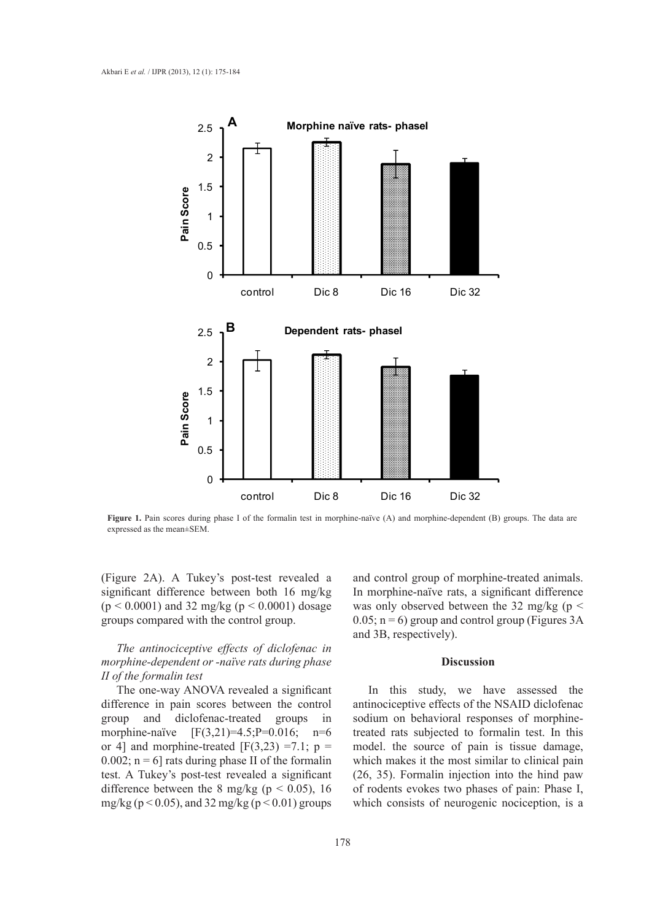

**Figure 1.** Pain scores during phase I of the formalin test in morphine-naïve (A) and morphine-dependent (B) groups. The data are expressed as the mean±SEM.

(Figure 2A). A Tukey's post-test revealed a significant difference between both 16 mg/kg  $(p < 0.0001)$  and 32 mg/kg  $(p < 0.0001)$  dosage groups compared with the control group.

# *The antinociceptive effects of diclofenac in morphine-dependent or -naïve rats during phase II of the formalin test*

The one-way ANOVA revealed a significant difference in pain scores between the control group and diclofenac-treated groups in morphine-naïve  $[F(3,21)=4.5; P=0.016; n=6$ or 4] and morphine-treated  $[F(3,23) = 7.1; p =$ 0.002;  $n = 6$  rats during phase II of the formalin test. A Tukey's post-test revealed a significant difference between the 8 mg/kg ( $p < 0.05$ ), 16 mg/kg ( $p < 0.05$ ), and 32 mg/kg ( $p < 0.01$ ) groups

and control group of morphine-treated animals. In morphine-naïve rats, a significant difference was only observed between the 32 mg/kg ( $p <$  $0.05$ ; n = 6) group and control group (Figures 3A) and 3B, respectively).

#### **Discussion**

In this study, we have assessed the antinociceptive effects of the NSAID diclofenac sodium on behavioral responses of morphinetreated rats subjected to formalin test. In this model. the source of pain is tissue damage, which makes it the most similar to clinical pain (26, 35). Formalin injection into the hind paw of rodents evokes two phases of pain: Phase I, which consists of neurogenic nociception, is a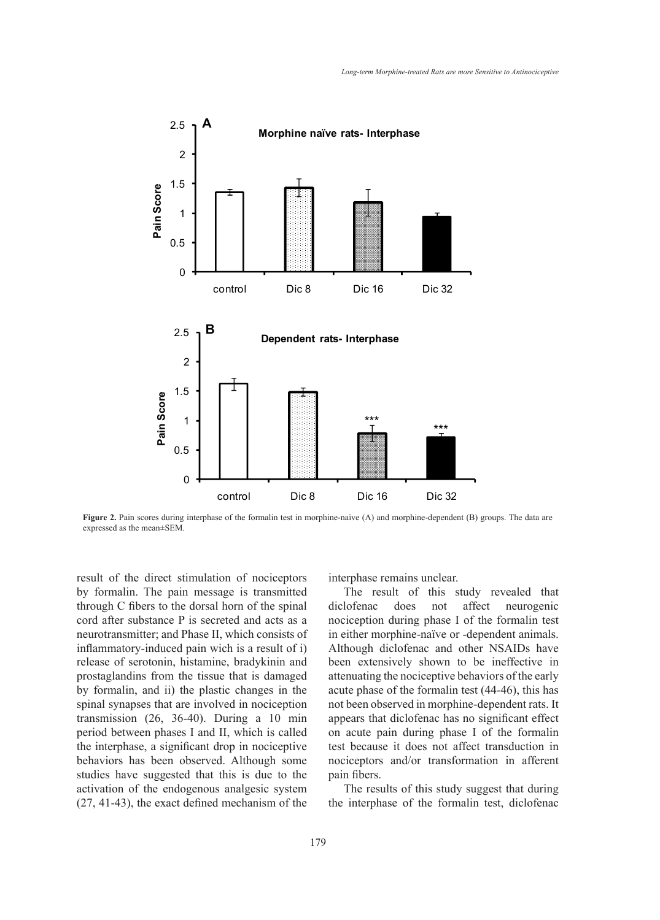

**Figure 2.** Pain scores during interphase of the formalin test in morphine-naïve (A) and morphine-dependent (B) groups. The data are expressed as the mean±SEM.

result of the direct stimulation of nociceptors by formalin. The pain message is transmitted through C fibers to the dorsal horn of the spinal cord after substance P is secreted and acts as a neurotransmitter; and Phase II, which consists of inflammatory-induced pain wich is a result of i) release of serotonin, histamine, bradykinin and prostaglandins from the tissue that is damaged by formalin, and ii) the plastic changes in the spinal synapses that are involved in nociception transmission (26, 36-40). During a 10 min period between phases I and II, which is called the interphase, a significant drop in nociceptive behaviors has been observed. Although some studies have suggested that this is due to the activation of the endogenous analgesic system (27, 41-43), the exact defined mechanism of the interphase remains unclear.

The result of this study revealed that diclofenac does not affect neurogenic nociception during phase I of the formalin test in either morphine-naïve or -dependent animals. Although diclofenac and other NSAIDs have been extensively shown to be ineffective in attenuating the nociceptive behaviors of the early acute phase of the formalin test (44-46), this has not been observed in morphine-dependent rats. It appears that diclofenac has no significant effect on acute pain during phase I of the formalin test because it does not affect transduction in nociceptors and/or transformation in afferent pain fibers.

The results of this study suggest that during the interphase of the formalin test, diclofenac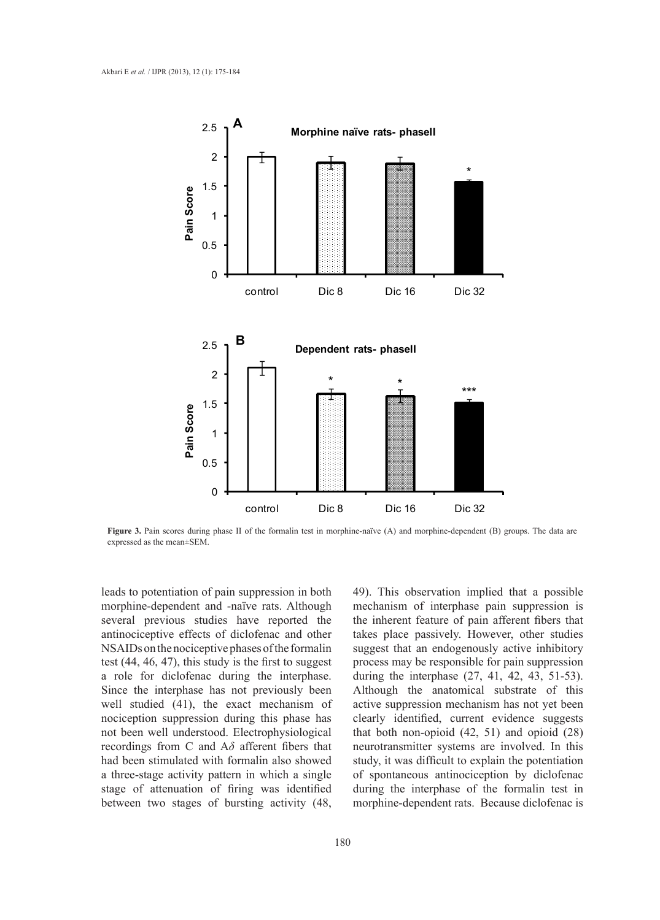

**Figure 3.** Pain scores during phase II of the formalin test in morphine-naïve (A) and morphine-dependent (B) groups. The data are expressed as the mean±SEM.

leads to potentiation of pain suppression in both morphine-dependent and -naïve rats. Although several previous studies have reported the antinociceptive effects of diclofenac and other NSAIDs on the nociceptive phases of the formalin test (44, 46, 47), this study is the first to suggest a role for diclofenac during the interphase. Since the interphase has not previously been well studied (41), the exact mechanism of nociception suppression during this phase has not been well understood. Electrophysiological recordings from C and A*δ* afferent fibers that had been stimulated with formalin also showed a three-stage activity pattern in which a single stage of attenuation of firing was identified between two stages of bursting activity (48,

49). This observation implied that a possible mechanism of interphase pain suppression is the inherent feature of pain afferent fibers that takes place passively. However, other studies suggest that an endogenously active inhibitory process may be responsible for pain suppression during the interphase (27, 41, 42, 43, 51-53). Although the anatomical substrate of this active suppression mechanism has not yet been clearly identified, current evidence suggests that both non-opioid (42, 51) and opioid (28) neurotransmitter systems are involved. In this study, it was difficult to explain the potentiation of spontaneous antinociception by diclofenac during the interphase of the formalin test in morphine-dependent rats. Because diclofenac is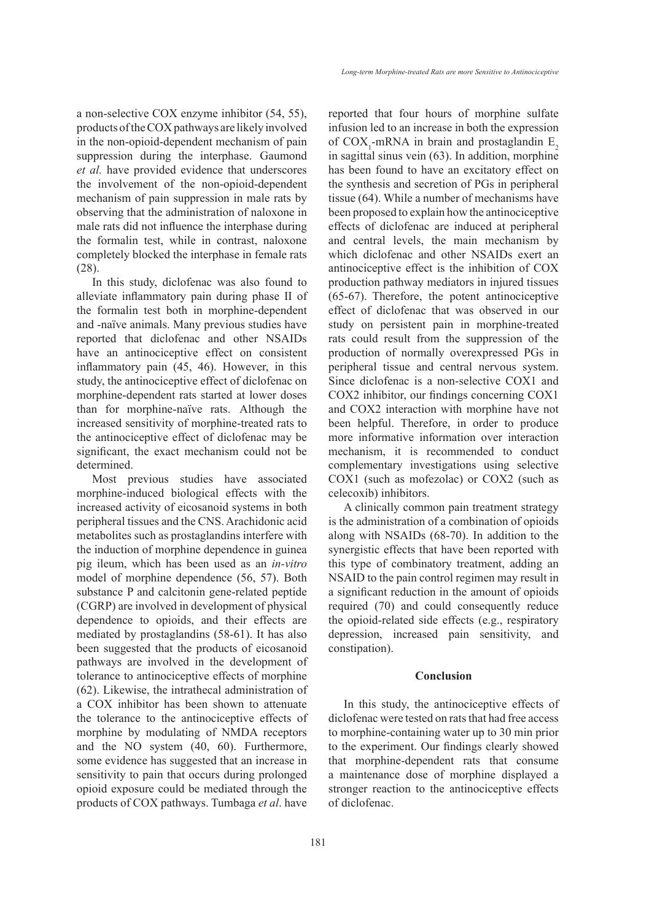a non-selective COX enzyme inhibitor (54, 55), products of the COX pathways are likely involved in the non-opioid-dependent mechanism of pain suppression during the interphase. Gaumond *et al.* have provided evidence that underscores the involvement of the non-opioid-dependent mechanism of pain suppression in male rats by observing that the administration of naloxone in male rats did not influence the interphase during the formalin test, while in contrast, naloxone completely blocked the interphase in female rats (28).

In this study, diclofenac was also found to alleviate inflammatory pain during phase II of the formalin test both in morphine-dependent and -naïve animals. Many previous studies have reported that diclofenac and other NSAIDs have an antinociceptive effect on consistent inflammatory pain (45, 46). However, in this study, the antinociceptive effect of diclofenac on morphine-dependent rats started at lower doses than for morphine-naïve rats. Although the increased sensitivity of morphine-treated rats to the antinociceptive effect of diclofenac may be significant, the exact mechanism could not be determined.

Most previous studies have associated morphine-induced biological effects with the increased activity of eicosanoid systems in both peripheral tissues and the CNS. Arachidonic acid metabolites such as prostaglandins interfere with the induction of morphine dependence in guinea pig ileum, which has been used as an *in-vitro* model of morphine dependence (56, 57). Both substance P and calcitonin gene-related peptide (CGRP) are involved in development of physical dependence to opioids, and their effects are mediated by prostaglandins (58-61). It has also been suggested that the products of eicosanoid pathways are involved in the development of tolerance to antinociceptive effects of morphine (62). Likewise, the intrathecal administration of a COX inhibitor has been shown to attenuate the tolerance to the antinociceptive effects of morphine by modulating of NMDA receptors and the NO system (40, 60). Furthermore, some evidence has suggested that an increase in sensitivity to pain that occurs during prolonged opioid exposure could be mediated through the products of COX pathways. Tumbaga *et al*. have

reported that four hours of morphine sulfate infusion led to an increase in both the expression of  $COX_1$ -mRNA in brain and prostaglandin  $E_2$ in sagittal sinus vein (63). In addition, morphine has been found to have an excitatory effect on the synthesis and secretion of PGs in peripheral tissue (64). While a number of mechanisms have been proposed to explain how the antinociceptive effects of diclofenac are induced at peripheral and central levels, the main mechanism by which diclofenac and other NSAIDs exert an antinociceptive effect is the inhibition of COX production pathway mediators in injured tissues (65-67). Therefore, the potent antinociceptive effect of diclofenac that was observed in our study on persistent pain in morphine-treated rats could result from the suppression of the production of normally overexpressed PGs in peripheral tissue and central nervous system. Since diclofenac is a non-selective COX1 and COX2 inhibitor, our findings concerning COX1 and COX2 interaction with morphine have not been helpful. Therefore, in order to produce more informative information over interaction mechanism, it is recommended to conduct complementary investigations using selective COX1 (such as mofezolac) or COX2 (such as celecoxib) inhibitors.

A clinically common pain treatment strategy is the administration of a combination of opioids along with NSAIDs (68-70). In addition to the synergistic effects that have been reported with this type of combinatory treatment, adding an NSAID to the pain control regimen may result in a significant reduction in the amount of opioids required (70) and could consequently reduce the opioid-related side effects (e.g., respiratory depression, increased pain sensitivity, and constipation).

# **Conclusion**

In this study, the antinociceptive effects of diclofenac were tested on rats that had free access to morphine-containing water up to 30 min prior to the experiment. Our findings clearly showed that morphine-dependent rats that consume a maintenance dose of morphine displayed a stronger reaction to the antinociceptive effects of diclofenac.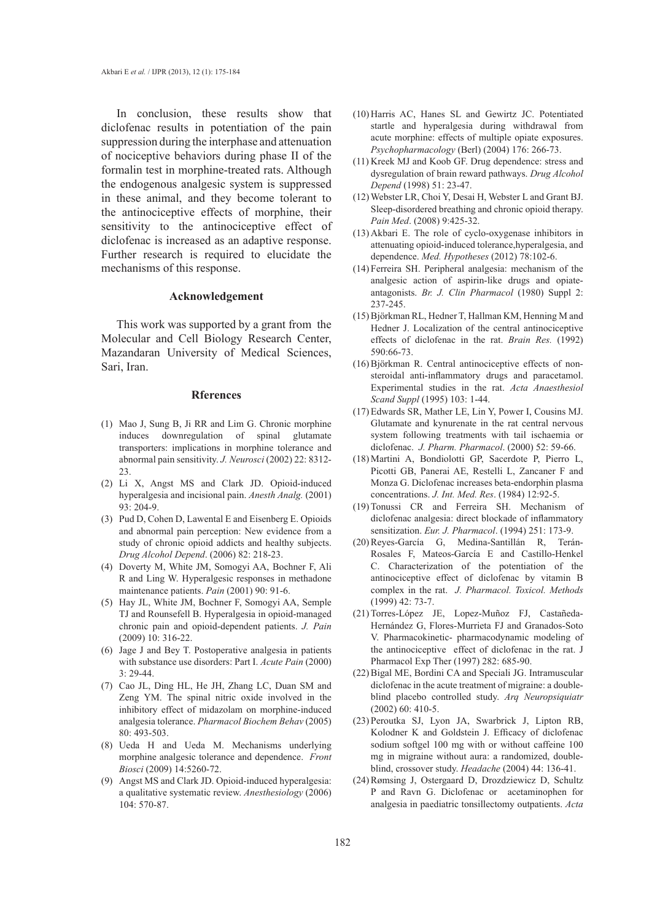In conclusion, these results show that diclofenac results in potentiation of the pain suppression during the interphase and attenuation of nociceptive behaviors during phase II of the formalin test in morphine-treated rats. Although the endogenous analgesic system is suppressed in these animal, and they become tolerant to the antinociceptive effects of morphine, their sensitivity to the antinociceptive effect of diclofenac is increased as an adaptive response. Further research is required to elucidate the mechanisms of this response.

#### **Acknowledgement**

This work was supported by a grant from the Molecular and Cell Biology Research Center, Mazandaran University of Medical Sciences, Sari, Iran.

#### **Rferences**

- Mao J, Sung B, Ji RR and Lim G. Chronic morphine (1) induces downregulation of spinal glutamate transporters: implications in morphine tolerance and abnormal pain sensitivity. *J. Neurosci* (2002) 22: 8312- 23.
- (2) Li X, Angst MS and Clark JD. Opioid-induced hyperalgesia and incisional pain. *Anesth Analg.* (2001) 93: 204-9.
- Pud D, Cohen D, Lawental E and Eisenberg E. Opioids (3) and abnormal pain perception: New evidence from a study of chronic opioid addicts and healthy subjects. *Drug Alcohol Depend*. (2006) 82: 218-23.
- Doverty M, White JM, Somogyi AA, Bochner F, Ali (4) R and Ling W. Hyperalgesic responses in methadone maintenance patients. *Pain* (2001) 90: 91-6.
- (5) Hay JL, White JM, Bochner F, Somogyi AA, Semple TJ and Rounsefell B. Hyperalgesia in opioid-managed chronic pain and opioid-dependent patients. *J. Pain* (2009) 10: 316-22.
- (6) Jage J and Bey T. Postoperative analgesia in patients with substance use disorders: Part I. *Acute Pain* (2000) 3: 29-44.
- (7) Cao JL, Ding HL, He JH, Zhang LC, Duan SM and Zeng YM. The spinal nitric oxide involved in the inhibitory effect of midazolam on morphine-induced analgesia tolerance. *Pharmacol Biochem Behav* (2005) 80: 493-503.
- Ueda H and Ueda M. Mechanisms underlying (8) morphine analgesic tolerance and dependence. *Front Biosci* (2009) 14:5260-72.
- (9) Angst MS and Clark JD. Opioid-induced hyperalgesia: a qualitative systematic review. *Anesthesiology* (2006) 104: 570-87.
- (10) Harris AC, Hanes SL and Gewirtz JC. Potentiated startle and hyperalgesia during withdrawal from acute morphine: effects of multiple opiate exposures. *Psychopharmacology* (Berl) (2004) 176: 266-73.
- $(11)$  Kreek MJ and Koob GF. Drug dependence: stress and dysregulation of brain reward pathways. *Drug Alcohol Depend* (1998) 51: 23-47.
- Webster LR, Choi Y, Desai H, Webster L and Grant BJ. (12) Sleep-disordered breathing and chronic opioid therapy. *Pain Med*. (2008) 9:425-32.
- Akbari E. The role of cyclo-oxygenase inhibitors in (13) attenuating opioid-induced tolerance,hyperalgesia, and dependence. *Med. Hypotheses* (2012) 78:102-6.
- (14) Ferreira SH. Peripheral analgesia: mechanism of the analgesic action of aspirin-like drugs and opiateantagonists. *Br. J. Clin Pharmacol* (1980) Suppl 2: 237-245.
- Björkman RL, Hedner T, Hallman KM, Henning M and (15) Hedner J. Localization of the central antinociceptive effects of diclofenac in the rat. *Brain Res.* (1992) 590:66-73.
- Björkman R. Central antinociceptive effects of non-(16) steroidal anti-inflammatory drugs and paracetamol. Experimental studies in the rat. *Acta Anaesthesiol Scand Suppl* (1995) 103: 1-44.
- Edwards SR, Mather LE, Lin Y, Power I, Cousins MJ. (17) Glutamate and kynurenate in the rat central nervous system following treatments with tail ischaemia or diclofenac. *J. Pharm. Pharmacol*. (2000) 52: 59-66.
- Martini A, Bondiolotti GP, Sacerdote P, Pierro L, (18) Picotti GB, Panerai AE, Restelli L, Zancaner F and Monza G. Diclofenac increases beta-endorphin plasma concentrations. *J. Int. Med. Res*. (1984) 12:92-5.
- (19) Tonussi CR and Ferreira SH. Mechanism of diclofenac analgesia: direct blockade of inflammatory sensitization. *Eur. J. Pharmacol*. (1994) 251: 173-9.
- (20) Reyes-García G, Medina-Santillán R, Terán-Rosales F, Mateos-García E and Castillo-Henkel C. Characterization of the potentiation of the antinociceptive effect of diclofenac by vitamin B complex in the rat. *J. Pharmacol. Toxicol. Methods* (1999) 42: 73-7.
- (21) Torres-López JE, Lopez-Muñoz FJ, Castañeda-Hernández G, Flores-Murrieta FJ and Granados-Soto V. Pharmacokinetic- pharmacodynamic modeling of the antinociceptive effect of diclofenac in the rat. J Pharmacol Exp Ther (1997) 282: 685-90.
- (22) Bigal ME, Bordini CA and Speciali JG. Intramuscular diclofenac in the acute treatment of migraine: a doubleblind placebo controlled study. *Arq Neuropsiquiatr* (2002) 60: 410-5.
- (23) Peroutka SJ, Lyon JA, Swarbrick J, Lipton RB, Kolodner K and Goldstein J. Efficacy of diclofenac sodium softgel 100 mg with or without caffeine 100 mg in migraine without aura: a randomized, doubleblind, crossover study. *Headache* (2004) 44: 136-41.
- (24) Rømsing J, Ostergaard D, Drozdziewicz D, Schultz P and Ravn G. Diclofenac or acetaminophen for analgesia in paediatric tonsillectomy outpatients. *Acta*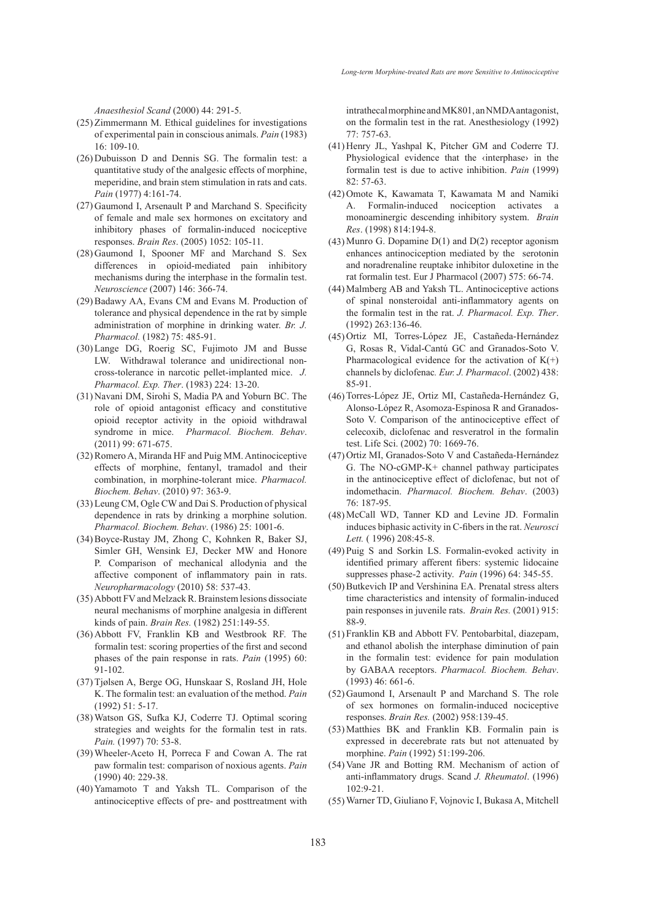*Anaesthesiol Scand* (2000) 44: 291-5.

- $(25)$  Zimmermann M. Ethical guidelines for investigations of experimental pain in conscious animals. *Pain* (1983) 16: 109-10.
- $(26)$  Dubuisson D and Dennis SG. The formalin test: a quantitative study of the analgesic effects of morphine, meperidine, and brain stem stimulation in rats and cats. *Pain* (1977) 4:161-74.
- (27) Gaumond I, Arsenault P and Marchand S. Specificity of female and male sex hormones on excitatory and inhibitory phases of formalin-induced nociceptive responses. *Brain Res*. (2005) 1052: 105-11.
- (28) Gaumond I, Spooner MF and Marchand S. Sex differences in opioid-mediated pain inhibitory mechanisms during the interphase in the formalin test. *Neuroscience* (2007) 146: 366-74.
- (29) Badawy AA, Evans CM and Evans M. Production of tolerance and physical dependence in the rat by simple administration of morphine in drinking water. *Br. J. Pharmacol.* (1982) 75: 485-91.
- Lange DG, Roerig SC, Fujimoto JM and Busse (30) LW. Withdrawal tolerance and unidirectional noncross-tolerance in narcotic pellet-implanted mice. *J. Pharmacol. Exp. Ther*. (1983) 224: 13-20.
- (31) Navani DM, Sirohi S, Madia PA and Yoburn BC. The role of opioid antagonist efficacy and constitutive opioid receptor activity in the opioid withdrawal syndrome in mice. *Pharmacol. Biochem. Behav*. (2011) 99: 671-675.
- (32) Romero A, Miranda HF and Puig MM. Antinociceptive effects of morphine, fentanyl, tramadol and their combination, in morphine-tolerant mice. *Pharmacol. Biochem. Behav*. (2010) 97: 363-9.
- Leung CM, Ogle CW and Dai S. Production of physical (33) dependence in rats by drinking a morphine solution. *Pharmacol. Biochem. Behav*. (1986) 25: 1001-6.
- (34) Boyce-Rustay JM, Zhong C, Kohnken R, Baker SJ, Simler GH, Wensink EJ, Decker MW and Honore P. Comparison of mechanical allodynia and the affective component of inflammatory pain in rats. *Neuropharmacology* (2010) 58: 537-43.
- (35) Abbott FV and Melzack R. Brainstem lesions dissociate neural mechanisms of morphine analgesia in different kinds of pain. *Brain Res.* (1982) 251:149-55.
- (36) Abbott FV, Franklin KB and Westbrook RF. The formalin test: scoring properties of the first and second phases of the pain response in rats. *Pain* (1995) 60: 91-102.
- Tjølsen A, Berge OG, Hunskaar S, Rosland JH, Hole (37) K. The formalin test: an evaluation of the method. *Pain* (1992) 51: 5-17.
- Watson GS, Sufka KJ, Coderre TJ. Optimal scoring (38) strategies and weights for the formalin test in rats. *Pain.* (1997) 70: 53-8.
- Wheeler-Aceto H, Porreca F and Cowan A. The rat (39) paw formalin test: comparison of noxious agents. *Pain* (1990) 40: 229-38.
- (40) Yamamoto T and Yaksh TL. Comparison of the antinociceptive effects of pre- and posttreatment with

intrathecal morphine and MK801, an NMDA antagonist, on the formalin test in the rat. Anesthesiology (1992) 77: 757-63.

- $(41)$  Henry JL, Yashpal K, Pitcher GM and Coderre TJ. Physiological evidence that the ‹interphase› in the formalin test is due to active inhibition. *Pain* (1999) 82: 57-63.
- (42) Omote K, Kawamata T, Kawamata M and Namiki A. Formalin-induced nociception activates a monoaminergic descending inhibitory system. *Brain Res*. (1998) 814:194-8.
- $(43)$  Munro G. Dopamine D $(1)$  and D $(2)$  receptor agonism enhances antinociception mediated by the serotonin and noradrenaline reuptake inhibitor duloxetine in the rat formalin test. Eur J Pharmacol (2007) 575: 66-74.
- (44) Malmberg AB and Yaksh TL. Antinociceptive actions of spinal nonsteroidal anti-inflammatory agents on the formalin test in the rat. *J. Pharmacol. Exp. Ther*. (1992) 263:136-46.
- (45) Ortiz MI, Torres-López JE, Castañeda-Hernández G, Rosas R, Vidal-Cantú GC and Granados-Soto V. Pharmacological evidence for the activation of  $K(+)$ channels by diclofenac*. Eur. J. Pharmacol*. (2002) 438: 85-91.
- (46) Torres-López JE, Ortiz MI, Castañeda-Hernández G, Alonso-López R, Asomoza-Espinosa R and Granados-Soto V. Comparison of the antinociceptive effect of celecoxib, diclofenac and resveratrol in the formalin test. Life Sci. (2002) 70: 1669-76.
- (47) Ortiz MI, Granados-Soto V and Castañeda-Hernández G. The NO-cGMP-K+ channel pathway participates in the antinociceptive effect of diclofenac, but not of indomethacin. *Pharmacol. Biochem. Behav*. (2003) 76: 187-95.
- (48) McCall WD, Tanner KD and Levine JD. Formalin induces biphasic activity in C-fibers in the rat. *Neurosci Lett.* ( 1996) 208:45-8.
- (49) Puig S and Sorkin LS. Formalin-evoked activity in identified primary afferent fibers: systemic lidocaine suppresses phase-2 activity. *Pain* (1996) 64: 345-55.
- (50) Butkevich IP and Vershinina EA. Prenatal stress alters time characteristics and intensity of formalin-induced pain responses in juvenile rats. *Brain Res.* (2001) 915: 88-9.
- (51) Franklin KB and Abbott FV. Pentobarbital, diazepam, and ethanol abolish the interphase diminution of pain in the formalin test: evidence for pain modulation by GABAA receptors. *Pharmacol. Biochem. Behav*. (1993) 46: 661-6.
- (52) Gaumond I, Arsenault P and Marchand S. The role of sex hormones on formalin-induced nociceptive responses. *Brain Res.* (2002) 958:139-45.
- (53) Matthies BK and Franklin KB. Formalin pain is expressed in decerebrate rats but not attenuated by morphine. *Pain* (1992) 51:199-206.
- (54) Vane JR and Botting RM. Mechanism of action of anti-inflammatory drugs. Scand *J. Rheumatol*. (1996) 102:9-21.
- Warner TD, Giuliano F, Vojnovic I, Bukasa A, Mitchell (55)